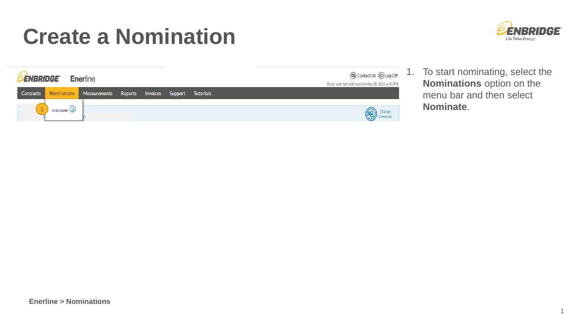

| <b>@</b> Contact Us @ Log Off<br><b>ENBRIDGE</b><br><b>Enerline</b><br>Ryan, your last visit was on May 18, 2021 6:41 PM |                       |              |         |          |         |                   |  |  |  |
|--------------------------------------------------------------------------------------------------------------------------|-----------------------|--------------|---------|----------|---------|-------------------|--|--|--|
| Contracts                                                                                                                | Nominations           | Measurements | Reports | Invoices | Support | <b>Tutorials</b>  |  |  |  |
|                                                                                                                          | Nominate $\mathbb{Q}$ |              |         |          |         | Change<br>Company |  |  |  |

1. To start nominating, select the **Nominations** option on the menu bar and then select **Nominate**.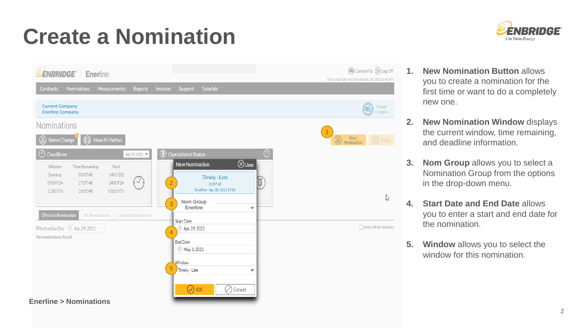



- **1. New Nomination Button** allows you to create a nomination for the first time or want to do a completely new one.
- **2. New Nomination Window** displays the current window, time remaining, and deadline information.
- **3. Nom Group** allows you to select a Nomination Group from the options in the drop-down menu.
- **4. Start Date and End Date** allows you to enter a start and end date for the nomination.
- **5. Window** allows you to select the window for this nomination.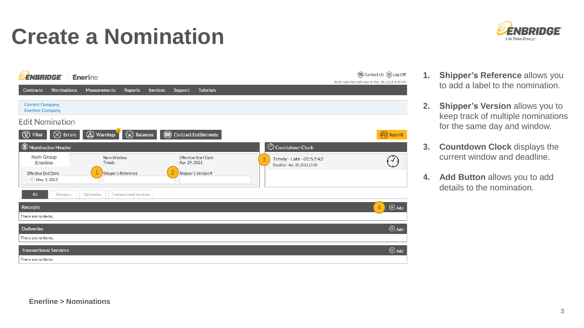



- **1. Shipper's Reference** allows you to add a label to the nomination.
- **2. Shipper's Version** allows you to keep track of multiple nominations for the same day and window.
- **3. Countdown Clock** displays the current window and deadline.
- **4. Add Button** allows you to add details to the nomination.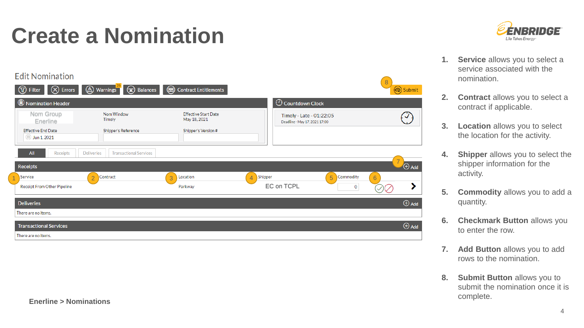**Fdit Nomination** 8  $\bigotimes$  Errors  $\circled{A}$  Warnings  $\circled{)}$  Balances **①** Filter Contract Entitlements Submit  $\odot$  Countdown Clock Nomination Header Nom Group **Effective Start Date**  $\bigcirc$ Nom Window Timely - Late - 01:22:05 Timely May 18, 2021 Enerline Deadline - May 17, 2021 17:00 **Effective End Date** Shipper's Reference Shipper's Version #  $\bullet$  Jun 1, 2021 **Deliveries Transactional Services** All Receipts 7  $\bigoplus$  Add **Receipts** 1 Service (2 Contract 1 3 Location 1 4 Shipper 1 5 (5 5  $\pm 2$  3 April 1 3  $\pm 3$  5  $\pm 3$  5  $\pm 3$  5  $\pm 3$  5  $\pm 3$  5  $\pm 3$  5  $\pm 3$  5  $\pm 3$  5  $\pm 3$  5  $\pm 3$  5  $\pm 3$  5  $\pm 3$  5  $\pm 3$  5  $\pm 3$  5  $\pm 3$  5  $\pm 3$  5  $\pm$ 6 EC on TCPL Receipt From Other Pipeline Parkway  $\mathbf{0}$ ⋗  $\bigoplus$  Add **Deliveries** There are no items.  $\bigoplus$  Add **Transactional Services** There are no items.



- **1. Service** allows you to select a service associated with the nomination.
- **2. Contract** allows you to select a contract if applicable.
- **3. Location** allows you to select the location for the activity.
- **4. Shipper** allows you to select the shipper information for the activity.
- **5. Commodity** allows you to add a quantity.
- **6. Checkmark Button** allows you to enter the row.
- **7. Add Button** allows you to add rows to the nomination.
- **8.** Submit Button allows you to submit the nomination once it is complete.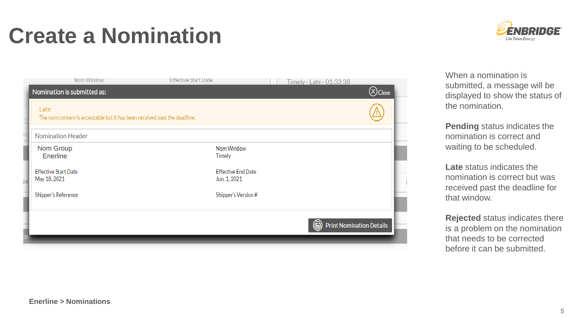Nom Window

Nomination is submitted as:



(a) Print Nomination Details

Shipper's Version #

**Late** status indicates the nomination is correct but was received past the deadline for that window.

**Rejected** status indicates there is a problem on the nomination that needs to be corrected before it can be submitted.

#### **Enerline > Nominations**

Nom Group Enerline

**Effective Start Date** 

Shipper's Reference

May 18, 2021

Nomination Header

Late

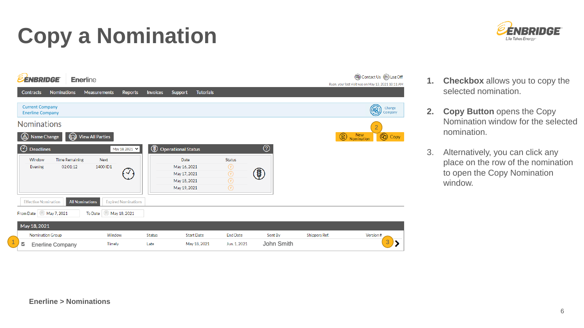# **Copy a Nomination**





- **1. Checkbox** allows you to copy the selected nomination.
- **2. Copy Button opens the Copy** Nomination window for the selected nomination.
- 3. Alternatively, you can click any place on the row of the nomination to open the Copy Nomination window.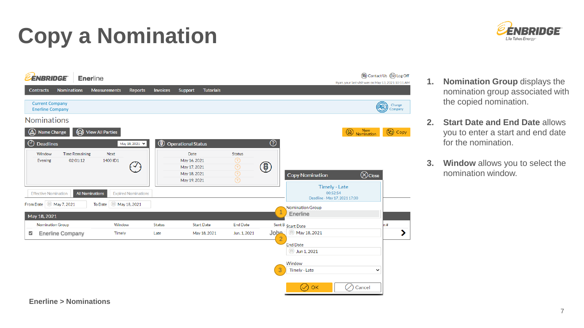# **Copy a Nomination**





- **1. Nomination Group** displays the nomination group associated with the copied nomination.
- **2. Start Date and End Date** allows you to enter a start and end date for the nomination.
- **3. Window** allows you to select the nomination window.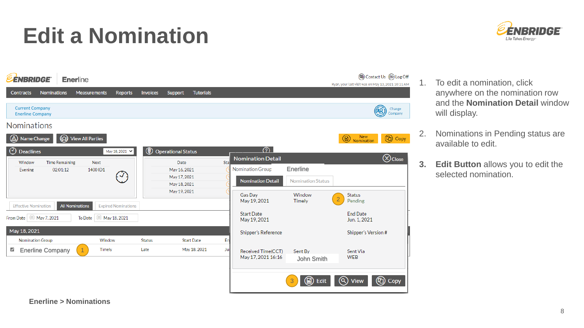### **Edit a Nomination**





- 1. To edit a nomination, click anywhere on the nomination row and the **Nomination Detail** window will display.
- 2. Nominations in Pending status are available to edit.
- **3. Edit Button** allows you to edit the selected nomination.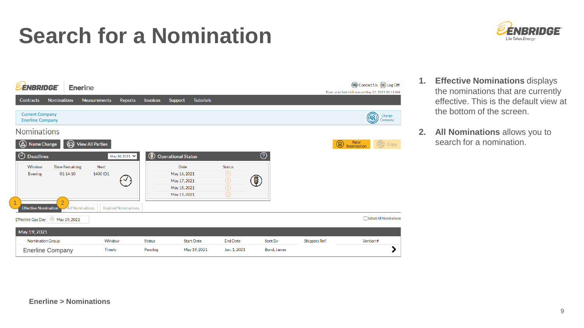#### **Search for a Nomination**



| <b>ENBRIDGE</b>                                   | <b>Enerline</b>                          |                         |                            |                 |                                                                      |                   |                                                                                   |                                               |             |               | (a) Contact Us (B) Log Off<br>Ryan, your last visit was on May 13, 2021 10:11 AM |
|---------------------------------------------------|------------------------------------------|-------------------------|----------------------------|-----------------|----------------------------------------------------------------------|-------------------|-----------------------------------------------------------------------------------|-----------------------------------------------|-------------|---------------|----------------------------------------------------------------------------------|
| <b>Nominations</b><br><b>Contracts</b>            |                                          | <b>Measurements</b>     | <b>Reports</b>             | <b>Invoices</b> | <b>Support</b>                                                       | <b>Tutorials</b>  |                                                                                   |                                               |             |               |                                                                                  |
| <b>Current Company</b><br><b>Enerline Company</b> |                                          |                         |                            |                 |                                                                      |                   |                                                                                   |                                               |             |               | Change<br>ලු<br>Company                                                          |
| <b>Nominations</b>                                |                                          |                         |                            |                 |                                                                      |                   |                                                                                   |                                               |             |               |                                                                                  |
| Name Change<br>(≜                                 | ▧                                        | <b>View All Parties</b> |                            |                 |                                                                      |                   |                                                                                   |                                               |             |               | New<br>Nomination<br><b>Copy</b><br>$\circledcirc$                               |
| $\odot$<br><b>Deadlines</b>                       |                                          |                         | May 18, 2021 Y             |                 | <b>1</b> Operational Status                                          |                   |                                                                                   | $\circledcirc$                                |             |               |                                                                                  |
| Window<br>Evening                                 | <b>Time Remaining</b><br>01:14:10        | <b>Next</b><br>1400 ID1 |                            |                 | Date<br>May 16, 2021<br>May 17, 2021<br>May 18, 2021<br>May 19, 2021 |                   | <b>Status</b><br>$^{\circ}$<br>$\circledcirc$<br>$\circledcirc$<br>$\circledcirc$ | $\circled{\scriptstyle\textcircled{\tiny i}}$ |             |               |                                                                                  |
| <b>Effective Nomination</b>                       | $\overline{2}$<br><b>All Nominations</b> |                         | <b>Expired Nominations</b> |                 |                                                                      |                   |                                                                                   |                                               |             |               |                                                                                  |
| <b>Effective Gas Day</b>                          | May 19, 2021                             |                         |                            |                 |                                                                      |                   |                                                                                   |                                               |             |               | Select All Nominations                                                           |
| May 19, 2021                                      |                                          |                         |                            |                 |                                                                      |                   |                                                                                   |                                               |             |               |                                                                                  |
| <b>Nomination Group</b>                           |                                          | Window                  |                            | <b>Status</b>   |                                                                      | <b>Start Date</b> | <b>End Date</b>                                                                   |                                               | Sent By     | Shippers Ref. | Version#                                                                         |
| <b>Enerline Company</b>                           |                                          | <b>Timely</b>           |                            | Pending         |                                                                      | May 19, 2021      | Jun. 1, 2021                                                                      |                                               | Bond, James |               |                                                                                  |

- **1. Effective Nominations** displays the nominations that are currently effective. This is the default view at the bottom of the screen.
- **2. All Nominations** allows you to search for a nomination.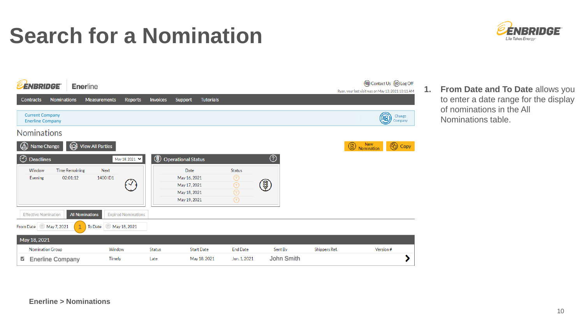#### **Search for a Nomination**



| <b>ÉNBRIDGE</b>                                   | <b>Enerline</b>                                              |                            |                                                                      |                                                                                       |                                |               | (a) Contact Us (B) Log Off                                    |
|---------------------------------------------------|--------------------------------------------------------------|----------------------------|----------------------------------------------------------------------|---------------------------------------------------------------------------------------|--------------------------------|---------------|---------------------------------------------------------------|
| <b>Nominations</b><br><b>Contracts</b>            | <b>Measurements</b>                                          | Reports                    | <b>Invoices</b><br>Support                                           | <b>Tutorials</b>                                                                      |                                |               | Ryan, your last visit was on May 13, 2021 10:11 AM            |
| <b>Current Company</b><br><b>Enerline Company</b> |                                                              |                            |                                                                      |                                                                                       |                                |               | Change<br>(28)<br>Company                                     |
| <b>Nominations</b>                                |                                                              |                            |                                                                      |                                                                                       |                                |               |                                                               |
| (∆<br>Name Change                                 | @<br><b>View All Parties</b>                                 |                            |                                                                      |                                                                                       |                                |               | New<br>Nomination<br>$^{\circledR}$<br>$^{\circledR}$<br>Copy |
| $\odot$<br><b>Deadlines</b>                       |                                                              | May 18, 2021 V             | $^{\circledR}$<br><b>Operational Status</b>                          |                                                                                       | $^\copyright$                  |               |                                                               |
| Window<br>Evening                                 | <b>Time Remaining</b><br><b>Next</b><br>02:01:12<br>1400 ID1 | $\boldsymbol{\mathcal{J}}$ | Date<br>May 16, 2021<br>May 17, 2021<br>May 18, 2021<br>May 19, 2021 | <b>Status</b><br>$\circledcirc$<br>$\circledcirc$<br>$\circledcirc$<br>$\circledcirc$ | $\textcircled{\scriptsize{4}}$ |               |                                                               |
| <b>Effective Nomination</b>                       | <b>All Nominations</b>                                       | <b>Expired Nominations</b> |                                                                      |                                                                                       |                                |               |                                                               |
| May 7, 2021<br>From Date                          | To Date                                                      | May 18, 2021               |                                                                      |                                                                                       |                                |               |                                                               |
| May 18, 2021                                      |                                                              |                            |                                                                      |                                                                                       |                                |               |                                                               |
| <b>Nomination Group</b>                           | Window                                                       | Status                     |                                                                      | <b>End Date</b><br><b>Start Date</b>                                                  | Sent By                        | Shippers Ref. | Version#                                                      |
| ⊻<br><b>Enerline Company</b>                      | Timely                                                       | Late                       |                                                                      | May 18, 2021<br>Jun. 1, 2021                                                          |                                | John Smith    |                                                               |

**1. From Date and To Date** allows you to enter a date range for the display of nominations in the All Nominations table.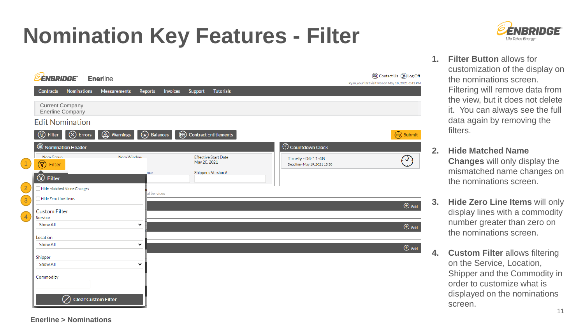# **Nomination Key Features - Filter**



- (a) Contact Us (B) Log Off **ENBRIDGE** Enerline Ryan, your last visit was on May 18, 2021 6:41 PM Nominations Measurements Reports **Tutorials** Contracts **Invoices** Support Current Company Enerline Company **Edit Nomination**  $(\times)$  Errors  $\circled{A}$  Warnings  $\widehat{(\mathbf{x})}$  Balances  $\circled{T}$  Filter **Contract Entitlements** (ප්) Submit C Countdown Clock Nomination Header Nom Group Nom Window **Effective Start Date**  $\bigcirc$ Timely - 04:11:48 May 20, 2021  $\left(\widehat{\mathbb{Y}}\right)$  Filter Deadline - May 19, 2021 13:30 ice Shipper's Version # **⑦** Filter Hide Matched Name Changes **Services**  $\Box$  Hide Zero Line Items  $\oplus$  Add **Custom Filter** Service Show All  $\checkmark$  $\bigoplus$  Add Location Show All  $\checkmark$  $\bigoplus$  Add Shipper Show All  $\checkmark$ Commodity  $\oslash$  Clear Custom Filter
- **1. Filter Button** allows for customization of the display on the nominations screen. Filtering will remove data from the view, but it does not delete it. You can always see the full data again by removing the filters.
	- **2. Hide Matched Name Changes** will only display the mismatched name changes on the nominations screen.
	- **3. Hide Zero Line Items** will only display lines with a commodity number greater than zero on the nominations screen.
	- **4. Custom Filter** allows filtering on the Service, Location, Shipper and the Commodity in order to customize what is displayed on the nominations screen.

2

1

3

4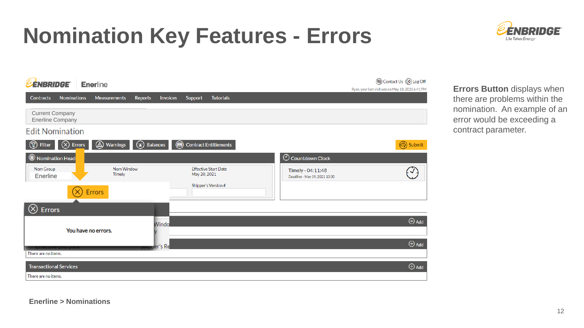#### **Nomination Key Features - Errors**



| <b>EENBRIDGE</b><br><b>Enerline</b>                                        |                                                                                                   | <b>@</b> Contact Us @ Log Off<br>Ryan, your last visit was on May 18, 2021 6:41 PM |
|----------------------------------------------------------------------------|---------------------------------------------------------------------------------------------------|------------------------------------------------------------------------------------|
| <b>Nominations</b><br><b>Contracts</b><br><b>Measurements</b>              | <b>Invoices</b><br><b>Tutorials</b><br>Reports<br>Support                                         |                                                                                    |
| <b>Current Company</b><br><b>Enerline Company</b>                          |                                                                                                   |                                                                                    |
| <b>Edit Nomination</b>                                                     |                                                                                                   |                                                                                    |
| <br><u>(ପ</u><br>$\left(\times\right)$ Errors<br>Warnings<br><b>Filter</b> | 甸<br><b>Contract Entitlements</b><br>ଇ<br><b>Balances</b>                                         | (今) Submit                                                                         |
| Nomination Head                                                            | $\odot$ Countdown Clock                                                                           |                                                                                    |
| Nom Window<br>Nom Group<br>Timely<br>Enerline                              | <b>Effective Start Date</b><br>Timely - 04:11:48<br>May 20, 2021<br>Deadline - May 19, 2021 13:30 | $\overline{\mathcal{L}}$                                                           |
| Errors                                                                     | Shipper's Version #                                                                               |                                                                                    |
| $(\!\times\!)$<br><b>Errors</b>                                            |                                                                                                   |                                                                                    |
|                                                                            | Windo                                                                                             | $\bigoplus$ Add                                                                    |
| You have no errors.                                                        |                                                                                                   |                                                                                    |
| <b>CHECHAE CHA Date</b>                                                    | per's Re                                                                                          | $\bigoplus$ Add                                                                    |
| There are no items.                                                        |                                                                                                   |                                                                                    |
| <b>Transactional Services</b><br>There are no items.                       |                                                                                                   | $\bigoplus$ Add                                                                    |

**Errors Button** displays when there are problems within the nomination. An example of an error would be exceeding a contract parameter.

**Enerline > Nominations**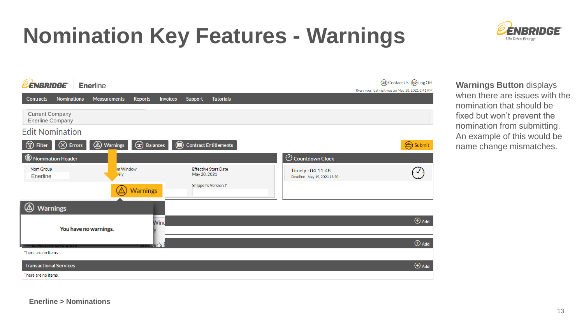## **Nomination Key Features - Warnings**





**Warnings Button** displays when there are issues with the nomination that should be fixed but won't prevent the nomination from submitting. An example of this would be name change mismatches.

**Enerline > Nominations**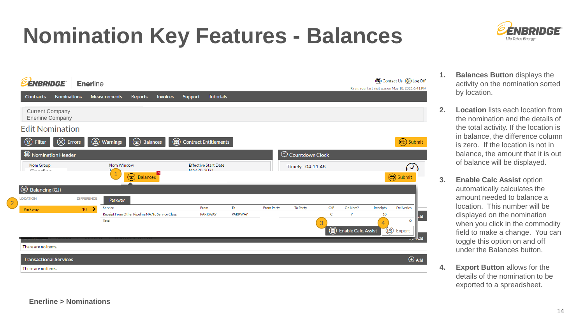## **Nomination Key Features - Balances**



**1. Balances Button** displays the activity on the nomination sorted by location.

ÉNBRIDGE

Life Takes Energy

- **2. Location** lists each location from the nomination and the details of the total activity. If the location is in balance, the difference column is zero. If the location is not in balance, the amount that it is out of balance will be displayed.
- **3. Enable Calc Assist option** automatically calculates the amount needed to balance a location. This number will be displayed on the nomination when you click in the commodity field to make a change. You can toggle this option on and off under the Balances button.
- **4. Export Button** allows for the details of the nomination to be exported to a spreadsheet.